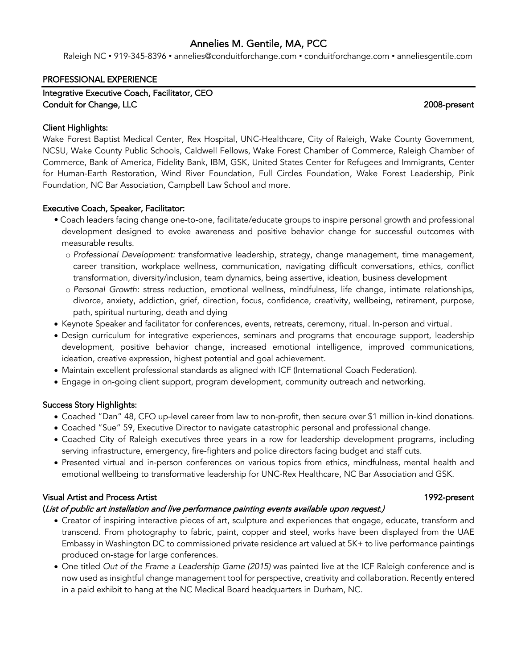## Annelies M. Gentile, MA, PCC

Raleigh NC • 919-345-8396 • annelies@conduitforchange.com • conduitforchange.com • anneliesgentile.com

#### PROFESSIONAL EXPERIENCE

Integrative Executive Coach, Facilitator, CEO Conduit for Change, LLC 2008-present

### Client Highlights:

Wake Forest Baptist Medical Center, Rex Hospital, UNC-Healthcare, City of Raleigh, Wake County Government, NCSU, Wake County Public Schools, Caldwell Fellows, Wake Forest Chamber of Commerce, Raleigh Chamber of Commerce, Bank of America, Fidelity Bank, IBM, GSK, United States Center for Refugees and Immigrants, Center for Human-Earth Restoration, Wind River Foundation, Full Circles Foundation, Wake Forest Leadership, Pink Foundation, NC Bar Association, Campbell Law School and more.

## Executive Coach, Speaker, Facilitator:

- Coach leaders facing change one-to-one, facilitate/educate groups to inspire personal growth and professional development designed to evoke awareness and positive behavior change for successful outcomes with measurable results.
	- o *Professional Development:* transformative leadership, strategy, change management, time management, career transition, workplace wellness, communication, navigating difficult conversations, ethics, conflict transformation, diversity/inclusion, team dynamics, being assertive, ideation, business development
	- o *Personal Growth:* stress reduction, emotional wellness, mindfulness, life change, intimate relationships, divorce, anxiety, addiction, grief, direction, focus, confidence, creativity, wellbeing, retirement, purpose, path, spiritual nurturing, death and dying
- Keynote Speaker and facilitator for conferences, events, retreats, ceremony, ritual. In-person and virtual.
- Design curriculum for integrative experiences, seminars and programs that encourage support, leadership development, positive behavior change, increased emotional intelligence, improved communications, ideation, creative expression, highest potential and goal achievement.
- Maintain excellent professional standards as aligned with ICF (International Coach Federation).
- Engage in on-going client support, program development, community outreach and networking.

## Success Story Highlights:

- Coached "Dan" 48, CFO up-level career from law to non-profit, then secure over \$1 million in-kind donations.
- Coached "Sue" 59, Executive Director to navigate catastrophic personal and professional change.
- Coached City of Raleigh executives three years in a row for leadership development programs, including serving infrastructure, emergency, fire-fighters and police directors facing budget and staff cuts.
- Presented virtual and in-person conferences on various topics from ethics, mindfulness, mental health and emotional wellbeing to transformative leadership for UNC-Rex Healthcare, NC Bar Association and GSK.

## Visual Artist and Process Artist 1992-present

## (List of public art installation and live performance painting events available upon request.)

- Creator of inspiring interactive pieces of art, sculpture and experiences that engage, educate, transform and transcend. From photography to fabric, paint, copper and steel, works have been displayed from the UAE Embassy in Washington DC to commissioned private residence art valued at 5K+ to live performance paintings produced on-stage for large conferences.
- One titled *Out of the Frame a Leadership Game (2015)* was painted live at the ICF Raleigh conference and is now used as insightful change management tool for perspective, creativity and collaboration. Recently entered in a paid exhibit to hang at the NC Medical Board headquarters in Durham, NC.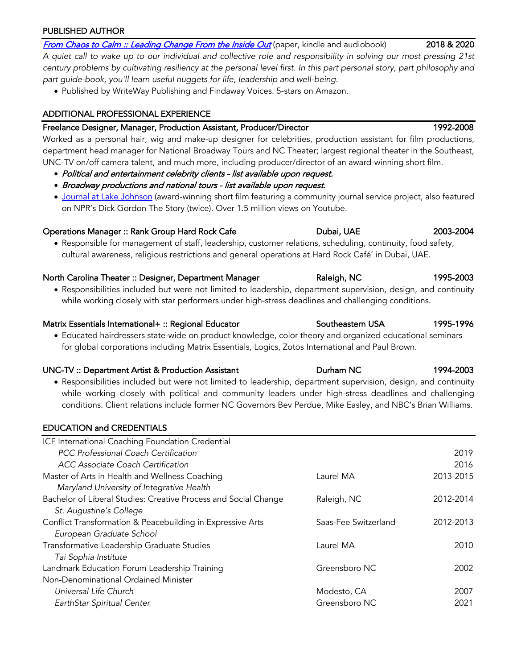## PUBLISHED AUTHOR

From Chaos to Calm :: Leading Change From the Inside Out (paper, kindle and audiobook) 2018 & 2020

*A quiet call to wake up to our individual and collective role and responsibility in solving our most pressing 21st century problems by cultivating resiliency at the personal level first. In this part personal story, part philosophy and part guide-book, you'll learn useful nuggets for life, leadership and well-being.*

• Published by WriteWay Publishing and Findaway Voices. 5-stars on Amazon.

# ADDITIONAL PROFESSIONAL EXPERIENCE

## Freelance Designer, Manager, Production Assistant, Producer/Director 1992-2008

Worked as a personal hair, wig and make-up designer for celebrities, production assistant for film productions, department head manager for National Broadway Tours and NC Theater; largest regional theater in the Southeast, UNC-TV on/off camera talent, and much more, including producer/director of an award-winning short film.

- Political and entertainment celebrity clients list available upon request.
- Broadway productions and national tours list available upon request.
- Journal at Lake Johnson (award-winning short film featuring a community journal service project, also featured on NPR's Dick Gordon The Story (twice). Over 1.5 million views on Youtube.

## Operations Manager :: Rank Group Hard Rock Cafe Dubai, UAE 2003-2004

• Responsible for management of staff, leadership, customer relations, scheduling, continuity, food safety, cultural awareness, religious restrictions and general operations at Hard Rock Café' in Dubai, UAE.

## North Carolina Theater :: Designer, Department Manager Raleigh, NC 1995-2003

• Responsibilities included but were not limited to leadership, department supervision, design, and continuity while working closely with star performers under high-stress deadlines and challenging conditions.

## Matrix Essentials International+ :: Regional Educator **Southeastern USA** 1995-1996

• Educated hairdressers state-wide on product knowledge, color theory and organized educational seminars for global corporations including Matrix Essentials, Logics, Zotos International and Paul Brown.

## UNC-TV :: Department Artist & Production Assistant Durham NC 1994-2003

• Responsibilities included but were not limited to leadership, department supervision, design, and continuity while working closely with political and community leaders under high-stress deadlines and challenging conditions. Client relations include former NC Governors Bev Perdue, Mike Easley, and NBC's Brian Williams.

# EDUCATION and CREDENTIALS

| ICF International Coaching Foundation Credential                |                      |           |
|-----------------------------------------------------------------|----------------------|-----------|
| PCC Professional Coach Certification                            |                      | 2019      |
| <b>ACC Associate Coach Certification</b>                        |                      | 2016      |
| Master of Arts in Health and Wellness Coaching                  | Laurel MA            | 2013-2015 |
| Maryland University of Integrative Health                       |                      |           |
| Bachelor of Liberal Studies: Creative Process and Social Change | Raleigh, NC          | 2012-2014 |
| St. Augustine's College                                         |                      |           |
| Conflict Transformation & Peacebuilding in Expressive Arts      | Saas-Fee Switzerland | 2012-2013 |
| European Graduate School                                        |                      |           |
| Transformative Leadership Graduate Studies                      | Laurel MA            | 2010      |
| Tai Sophia Institute                                            |                      |           |
| Landmark Education Forum Leadership Training                    | Greensboro NC        | 2002      |
| Non-Denominational Ordained Minister                            |                      |           |
| Universal Life Church                                           | Modesto, CA          | 2007      |
| EarthStar Spiritual Center                                      | Greensboro NC        | 2021      |
|                                                                 |                      |           |